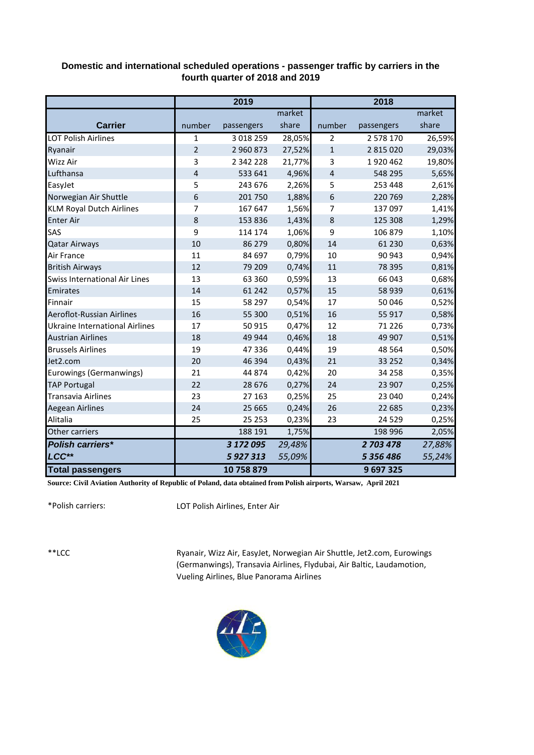## **Domestic and international scheduled operations - passenger traffic by carriers in the fourth quarter of 2018 and 2019**

|                                       | 2019           |            |        | 2018           |            |        |
|---------------------------------------|----------------|------------|--------|----------------|------------|--------|
|                                       |                |            | market |                |            | market |
| <b>Carrier</b>                        | number         | passengers | share  | number         | passengers | share  |
| <b>LOT Polish Airlines</b>            | 1              | 3 018 259  | 28,05% | $\overline{2}$ | 2 578 170  | 26,59% |
| Ryanair                               | $\overline{2}$ | 2 960 873  | 27,52% | $\mathbf{1}$   | 2 815 020  | 29,03% |
| Wizz Air                              | 3              | 2 342 228  | 21,77% | 3              | 1920462    | 19,80% |
| Lufthansa                             | 4              | 533 641    | 4,96%  | 4              | 548 295    | 5,65%  |
| EasyJet                               | 5              | 243 676    | 2,26%  | 5              | 253 448    | 2,61%  |
| Norwegian Air Shuttle                 | 6              | 201 750    | 1,88%  | 6              | 220 769    | 2,28%  |
| <b>KLM Royal Dutch Airlines</b>       | 7              | 167 647    | 1,56%  | 7              | 137 097    | 1,41%  |
| <b>Enter Air</b>                      | 8              | 153 836    | 1,43%  | 8              | 125 308    | 1,29%  |
| SAS                                   | 9              | 114 174    | 1,06%  | 9              | 106 879    | 1,10%  |
| <b>Qatar Airways</b>                  | 10             | 86 279     | 0,80%  | 14             | 61 230     | 0,63%  |
| Air France                            | 11             | 84 697     | 0,79%  | 10             | 90 943     | 0,94%  |
| <b>British Airways</b>                | 12             | 79 209     | 0,74%  | 11             | 78 395     | 0,81%  |
| Swiss International Air Lines         | 13             | 63 360     | 0,59%  | 13             | 66 043     | 0,68%  |
| Emirates                              | 14             | 61 242     | 0,57%  | 15             | 58 939     | 0,61%  |
| Finnair                               | 15             | 58 297     | 0,54%  | 17             | 50 046     | 0,52%  |
| Aeroflot-Russian Airlines             | 16             | 55 300     | 0,51%  | 16             | 55 917     | 0,58%  |
| <b>Ukraine International Airlines</b> | 17             | 50 915     | 0,47%  | 12             | 71 2 2 6   | 0,73%  |
| <b>Austrian Airlines</b>              | 18             | 49 944     | 0,46%  | 18             | 49 907     | 0,51%  |
| <b>Brussels Airlines</b>              | 19             | 47 336     | 0,44%  | 19             | 48 5 64    | 0,50%  |
| Jet2.com                              | 20             | 46 394     | 0,43%  | 21             | 33 25 2    | 0,34%  |
| Eurowings (Germanwings)               | 21             | 44 874     | 0,42%  | 20             | 34 258     | 0,35%  |
| <b>TAP Portugal</b>                   | 22             | 28 6 7 6   | 0,27%  | 24             | 23 907     | 0,25%  |
| <b>Transavia Airlines</b>             | 23             | 27 163     | 0,25%  | 25             | 23 040     | 0,24%  |
| <b>Aegean Airlines</b>                | 24             | 25 665     | 0,24%  | 26             | 22 685     | 0,23%  |
| Alitalia                              | 25             | 25 25 3    | 0,23%  | 23             | 24 5 29    | 0,25%  |
| Other carriers                        |                | 188 191    | 1,75%  |                | 198 996    | 2,05%  |
| <b>Polish carriers*</b>               |                | 3 172 095  | 29,48% |                | 2 703 478  | 27,88% |
| LCC**                                 |                | 5927313    | 55,09% |                | 5 356 486  | 55,24% |
| <b>Total passengers</b>               |                | 10 758 879 |        |                | 9697325    |        |

**Source: Civil Aviation Authority of Republic of Poland, data obtained from Polish airports, Warsaw, April 2021**

\*Polish carriers:

LOT Polish Airlines, Enter Air

\*\*LCC

Ryanair, Wizz Air, EasyJet, Norwegian Air Shuttle, Jet2.com, Eurowings (Germanwings), Transavia Airlines, Flydubai, Air Baltic, Laudamotion, Vueling Airlines, Blue Panorama Airlines